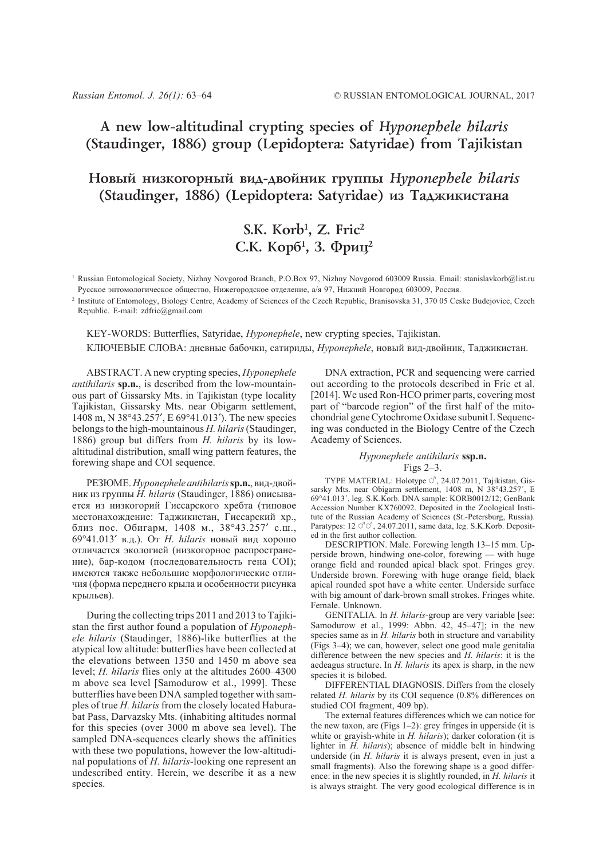## **A new low-altitudinal crypting species of** *Hyponephele hilaris* **(Staudinger, 1886) group (Lepidoptera: Satyridae) from Tajikistan**

## **Íîâûé íèçêîãîðíûé âèä-äâîéíèê ãðóïïû** *Hyponephele hilaris* **(Staudinger, 1886)** (Lepidoptera: Satyridae) из Таджикистана

# **S.K. Korb1 , Z. Fric2** С.К. Корб<sup>1</sup>, 3. Фриц<sup>2</sup>

<sup>1</sup> Russian Entomological Society, Nizhny Novgorod Branch, P.O.Box 97, Nizhny Novgorod 603009 Russia. Email: stanislavkorb@list.ru Русское энтомологическое общество, Нижегородское отделение, а/я 97, Нижний Новгород 603009, Россия.

<sup>2</sup> Institute of Entomology, Biology Centre, Academy of Sciences of the Czech Republic, Branisovska 31, 370 05 Ceske Budejovice, Czech Republic. E-mail: zdfric@gmail.com

KEY-WORDS: Butterflies, Satyridae, *Hyponephele*, new crypting species, Tajikistan. КЛЮЧЕВЫЕ СЛОВА: дневные бабочки, сатириды, *Hyponephele*, новый вид-двойник, Таджикистан.

ABSTRACT. A new crypting species, *Hyponephele antihilaris* **sp.n.**, is described from the low-mountainous part of Gissarsky Mts. in Tajikistan (type locality Tajikistan, Gissarsky Mts. near Obigarm settlement, 1408 m, N 38°43.257′, E 69°41.013′). The new species belongs to the high-mountainous *H. hilaris* (Staudinger, 1886) group but differs from *H. hilaris* by its lowaltitudinal distribution, small wing pattern features, the forewing shape and COI sequence.

РЕЗЮМЕ. *Hyponephele antihilaris***sp.n.**, вид-двойник из группы *H. hilaris* (Staudinger, 1886) описывается из низкогорий Гиссарского хребта (типовое местонахождение: Таджикистан, Гиссарский хр., близ пос. Обигарм, 1408 м., 38°43.257′ c.ш., 69°41.013′ в.д.). От *H*. *hilaris* новый вид хорошо отличается экологией (низкогорное распространение), бар-кодом (последовательность гена COI); имеются также небольшие морфологические отличия (форма переднего крыла и особенности рисунка крыльев).

During the collecting trips 2011 and 2013 to Tajikistan the first author found a population of *Hyponephele hilaris* (Staudinger, 1886)-like butterflies at the atypical low altitude: butterflies have been collected at the elevations between 1350 and 1450 m above sea level; *H. hilaris* flies only at the altitudes 2600–4300 m above sea level [Samodurow et al., 1999]. These butterflies have been DNA sampled together with samples of true *H. hilaris* from the closely located Haburabat Pass, Darvazsky Mts. (inhabiting altitudes normal for this species (over 3000 m above sea level). The sampled DNA-sequences clearly shows the affinities with these two populations, however the low-altitudinal populations of *H. hilaris-*looking one represent an undescribed entity. Herein, we describe it as a new species.

DNA extraction, PCR and sequencing were carried out according to the protocols described in Fric et al. [2014]. We used Ron-HCO primer parts, covering most part of "barcode region" of the first half of the mitochondrial gene Cytochrome Oxidase subunit I. Sequencing was conducted in the Biology Centre of the Czech Academy of Sciences.

### *Hyponephele antihilaris* **ssp.n.** Figs 2–3.

TYPE MATERIAL: Holotype  $\circlearrowleft$ , 24.07.2011, Tajikistan, Gissarsky Mts. near Obigarm settlement, 1408 m, N 38°43.257′, E 69°41.013´, leg. S.K.Korb. DNA sample: KORB0012/12; GenBank Accession Number KX760092. Deposited in the Zoological Institute of the Russian Academy of Sciences (St.-Petersburg, Russia). Paratypes:  $12 \text{ } \text{ } \text{ } \text{ } \text{ } \text{ } \text{ } 24.07.2011$ , same data, leg. S.K.Korb. Deposited in the first author collection.

DESCRIPTION. Male. Forewing length 13–15 mm. Upperside brown, hindwing one-color, forewing — with huge orange field and rounded apical black spot. Fringes grey. Underside brown. Forewing with huge orange field, black apical rounded spot have a white center. Underside surface with big amount of dark-brown small strokes. Fringes white. Female. Unknown.

GENITALIA. In *H. hilaris*-group are very variable [see: Samodurow et al., 1999: Abbn. 42, 45-47]; in the new species same as in *H. hilaris* both in structure and variability (Figs 3–4); we can, however, select one good male genitalia difference between the new species and *H. hilaris*: it is the aedeagus structure. In *H. hilaris* its apex is sharp, in the new species it is bilobed.

DIFFERENTIAL DIAGNOSIS. Differs from the closely related *H. hilaris* by its COI sequence (0.8% differences on studied COI fragment, 409 bp).

The external features differences which we can notice for the new taxon, are (Figs  $1-2$ ): grey fringes in upperside (it is white or grayish-white in *H. hilaris*); darker coloration (it is lighter in *H. hilaris*); absence of middle belt in hindwing underside (in *H. hilaris* it is always present, even in just a small fragments). Also the forewing shape is a good difference: in the new species it is slightly rounded, in *H. hilaris* it is always straight. The very good ecological difference is in